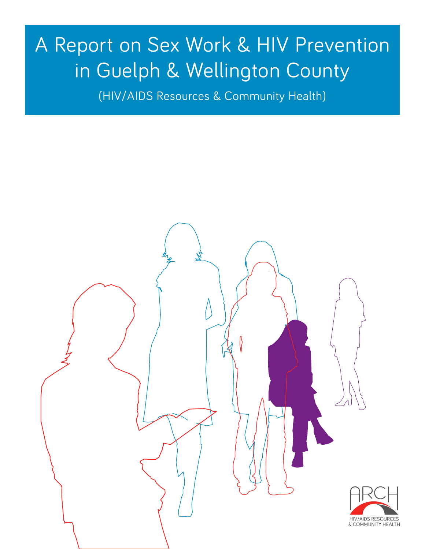# A Report on Sex Work & HIV Prevention in Guelph & Wellington County

(HIV/AIDS Resources & Community Health)

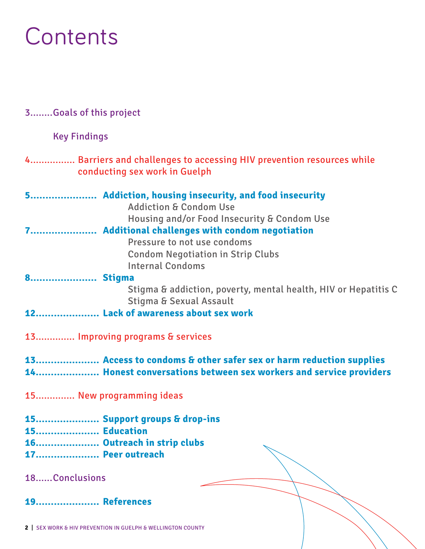# **Contents**

### 3........Goals of this project

Key Findings

### 4................ Barriers and challenges to accessing HIV prevention resources while conducting sex work in Guelph

|                     | 5 Addiction, housing insecurity, and food insecurity<br><b>Addiction &amp; Condom Use</b>            |
|---------------------|------------------------------------------------------------------------------------------------------|
|                     | Housing and/or Food Insecurity & Condom Use                                                          |
|                     | 7 Additional challenges with condom negotiation                                                      |
|                     | Pressure to not use condoms                                                                          |
|                     |                                                                                                      |
|                     | <b>Condom Negotiation in Strip Clubs</b>                                                             |
|                     | <b>Internal Condoms</b>                                                                              |
| 8 Stigma            |                                                                                                      |
|                     | Stigma & addiction, poverty, mental health, HIV or Hepatitis C<br><b>Stigma &amp; Sexual Assault</b> |
|                     | 12 Lack of awareness about sex work                                                                  |
|                     |                                                                                                      |
|                     | 13 Improving programs & services                                                                     |
|                     | 13 Access to condoms & other safer sex or harm reduction supplies                                    |
|                     | 14 Honest conversations between sex workers and service providers                                    |
|                     | 15 New programming ideas                                                                             |
|                     | 15 Support groups & drop-ins                                                                         |
| <b>15 Education</b> |                                                                                                      |
|                     | 16 Outreach in strip clubs                                                                           |
| 17 Peer outreach    |                                                                                                      |
|                     |                                                                                                      |
|                     |                                                                                                      |

18......Conclusions

 **References 19.....................**

**2** | SEX WORK & HIV PREVENTION IN GUELPH & WELLINGTON COUNTY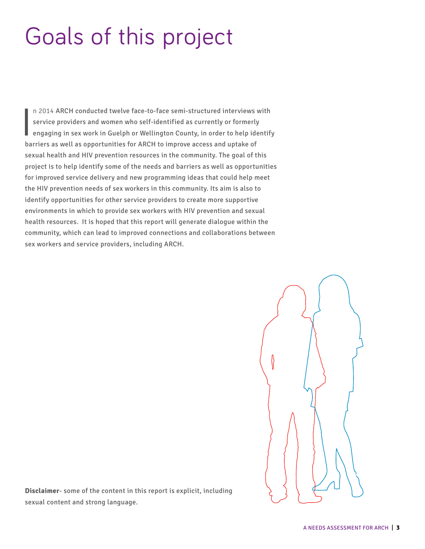# Goals of this project

I n 2014 ARCH conducted twelve face-to-face semi-structured interviews with service providers and women who self-identified as currently or formerly engaging in sex work in Guelph or Wellington County, in order to help identify barriers as well as opportunities for ARCH to improve access and uptake of sexual health and HIV prevention resources in the community. The goal of this project is to help identify some of the needs and barriers as well as opportunities for improved service delivery and new programming ideas that could help meet the HIV prevention needs of sex workers in this community. Its aim is also to identify opportunities for other service providers to create more supportive environments in which to provide sex workers with HIV prevention and sexual health resources. It is hoped that this report will generate dialogue within the community, which can lead to improved connections and collaborations between sex workers and service providers, including ARCH.



**Disclaimer**- some of the content in this report is explicit, including sexual content and strong language.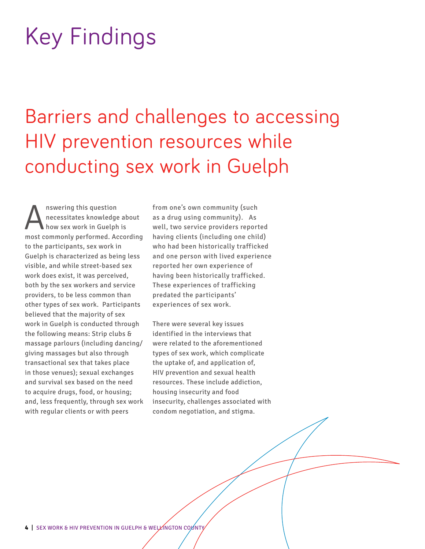# Key Findings

# Barriers and challenges to accessing HIV prevention resources while conducting sex work in Guelph

Answering this question<br>
necessitates knowledge<br>
nect commonly performed Ac necessitates knowledge about how sex work in Guelph is most commonly performed. According to the participants, sex work in Guelph is characterized as being less visible, and while street-based sex work does exist, it was perceived, both by the sex workers and service providers, to be less common than other types of sex work. Participants believed that the majority of sex work in Guelph is conducted through the following means: Strip clubs & massage parlours (including dancing/ giving massages but also through transactional sex that takes place in those venues); sexual exchanges and survival sex based on the need to acquire drugs, food, or housing; and, less frequently, through sex work with regular clients or with peers

from one's own community (such as a drug using community). As well, two service providers reported having clients (including one child) who had been historically trafficked and one person with lived experience reported her own experience of having been historically trafficked. These experiences of trafficking predated the participants' experiences of sex work.

There were several key issues identified in the interviews that were related to the aforementioned types of sex work, which complicate the uptake of, and application of, HIV prevention and sexual health resources. These include addiction, housing insecurity and food insecurity, challenges associated with condom negotiation, and stigma.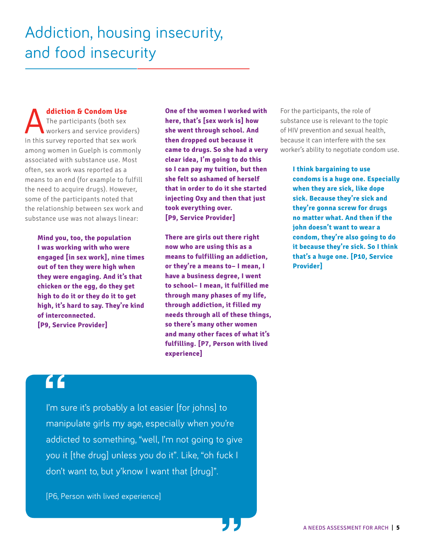**Addiction & Condom Use**<br>The participants (both sex<br>workers and service provide in this survey reported that sex w The participants (both sex workers and service providers) in this survey reported that sex work among women in Guelph is commonly associated with substance use. Most often, sex work was reported as a means to an end (for example to fulfill the need to acquire drugs). However, some of the participants noted that the relationship between sex work and substance use was not always linear:

> **Mind you, too, the population I was working with who were engaged [in sex work], nine times out of ten they were high when they were engaging. And it's that chicken or the egg, do they get high to do it or they do it to get high, it's hard to say. They're kind of interconnected. [P9, Service Provider]**

**One of the women I worked with here, that's [sex work is] how she went through school. And then dropped out because it came to drugs. So she had a very clear idea, I'm going to do this so I can pay my tuition, but then she felt so ashamed of herself that in order to do it she started injecting Oxy and then that just took everything over. [P9, Service Provider]**

**There are girls out there right now who are using this as a means to fulfilling an addiction, or they're a means to– I mean, I have a business degree, I went to school– I mean, it fulfilled me through many phases of my life, through addiction, it filled my needs through all of these things, so there's many other women and many other faces of what it's fulfilling. [P7, Person with lived experience]**

**"**

For the participants, the role of substance use is relevant to the topic of HIV prevention and sexual health, because it can interfere with the sex worker's ability to negotiate condom use.

> **I think bargaining to use condoms is a huge one. Especially when they are sick, like dope sick. Because they're sick and they're gonna screw for drugs no matter what. And then if the john doesn't want to wear a condom, they're also going to do it because they're sick. So I think that's a huge one. [P10, Service Provider]**

I'm sure it's probably a lot easier [for johns] to manipulate girls my age, especially when you're addicted to something, "well, I'm not going to give you it [the drug] unless you do it". Like, "oh fuck I don't want to, but y'know I want that [drug]". **"** 

[P6, Person with lived experience]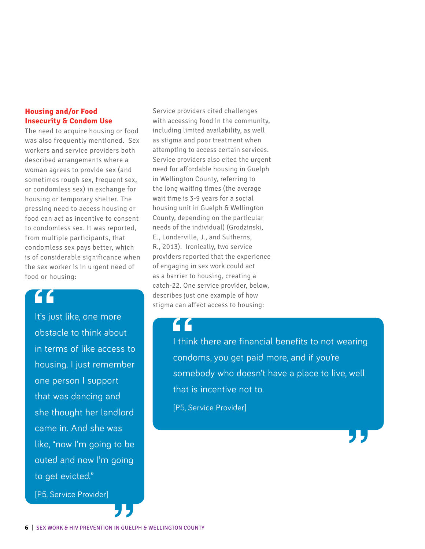### **Housing and/or Food Insecurity & Condom Use**

The need to acquire housing or food was also frequently mentioned. Sex workers and service providers both described arrangements where a woman agrees to provide sex (and sometimes rough sex, frequent sex, or condomless sex) in exchange for housing or temporary shelter. The pressing need to access housing or food can act as incentive to consent to condomless sex. It was reported, from multiple participants, that condomless sex pays better, which is of considerable significance when the sex worker is in urgent need of food or housing:

**f**<br> **1** it's just li<br>
obstacle It's just like, one more obstacle to think about in terms of like access to housing. I just remember one person I support that was dancing and she thought her landlord came in. And she was like, "now I'm going to be outed and now I'm going to get evicted."

[P5, Service Provider]

Service providers cited challenges with accessing food in the community, including limited availability, as well as stigma and poor treatment when attempting to access certain services. Service providers also cited the urgent need for affordable housing in Guelph in Wellington County, referring to the long waiting times (the average wait time is 3-9 years for a social housing unit in Guelph & Wellington County, depending on the particular needs of the individual) (Grodzinski, E., Londerville, J., and Sutherns, R., 2013). Ironically, two service providers reported that the experience of engaging in sex work could act as a barrier to housing, creating a catch-22. One service provider, below, describes just one example of how stigma can affect access to housing:

I think there are financial benefits to not wearing condoms, you get paid more, and if you're somebody who doesn't have a place to live, well that is incentive not to. **1**<br>
I think th<br>
condoms

[P5, Service Provider]

**"**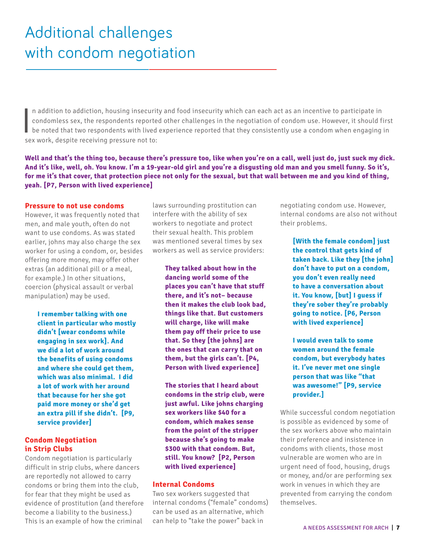$\overline{\mathbf{I}}$ n addition to addiction, housing insecurity and food insecurity which can each act as an incentive to participate in condomless sex, the respondents reported other challenges in the negotiation of condom use. However, it should first be noted that two respondents with lived experience reported that they consistently use a condom when engaging in sex work, despite receiving pressure not to:

**Well and that's the thing too, because there's pressure too, like when you're on a call, well just do, just suck my dick. And it's like, well, oh. You know. I'm a 19-year-old girl and you're a disgusting old man and you smell funny. So it's, for me it's that cover, that protection piece not only for the sexual, but that wall between me and you kind of thing, yeah. [P7, Person with lived experience]**

### **Pressure to not use condoms**

However, it was frequently noted that men, and male youth, often do not want to use condoms. As was stated earlier, johns may also charge the sex worker for using a condom, or, besides offering more money, may offer other extras (an additional pill or a meal, for example.) In other situations, coercion (physical assault or verbal manipulation) may be used.

> **I remember talking with one client in particular who mostly didn't [wear condoms while engaging in sex work]. And we did a lot of work around the benefits of using condoms and where she could get them, which was also minimal. I did a lot of work with her around that because for her she got paid more money or she'd get an extra pill if she didn't. [P9, service provider]**

### **Condom Negotiation in Strip Clubs**

Condom negotiation is particularly difficult in strip clubs, where dancers are reportedly not allowed to carry condoms or bring them into the club, for fear that they might be used as evidence of prostitution (and therefore become a liability to the business.) This is an example of how the criminal

laws surrounding prostitution can interfere with the ability of sex workers to negotiate and protect their sexual health. This problem was mentioned several times by sex workers as well as service providers:

> **They talked about how in the dancing world some of the places you can't have that stuff there, and it's not– because then it makes the club look bad, things like that. But customers will charge, like will make them pay off their price to use that. So they [the johns] are the ones that can carry that on them, but the girls can't. [P4, Person with lived experience]**

**The stories that I heard about condoms in the strip club, were just awful. Like johns charging sex workers like \$40 for a condom, which makes sense from the point of the stripper because she's going to make \$300 with that condom. But, still. You know? [P2, Person with lived experience]**

### **Internal Condoms**

Two sex workers suggested that internal condoms ("female" condoms) can be used as an alternative, which can help to "take the power" back in

negotiating condom use. However, internal condoms are also not without their problems.

> **[With the female condom] just the control that gets kind of taken back. Like they [the john] don't have to put on a condom, you don't even really need to have a conversation about it. You know, [but] I guess if they're sober they're probably going to notice. [P6, Person with lived experience]**

**I would even talk to some women around the female condom, but everybody hates it. I've never met one single person that was like "that was awesome!" [P9, service provider.]**

While successful condom negotiation is possible as evidenced by some of the sex workers above who maintain their preference and insistence in condoms with clients, those most vulnerable are women who are in urgent need of food, housing, drugs or money, and/or are performing sex work in venues in which they are prevented from carrying the condom themselves.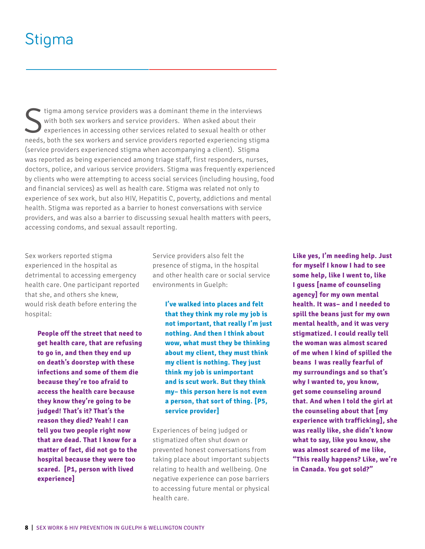## Stigma

Stigma among service providers was a dominant theme in the interviews<br>with both sex workers and service providers. When asked about their<br>experiences in accessing other services related to sexual health or other<br>prods, bot with both sex workers and service providers. When asked about their experiences in accessing other services related to sexual health or other needs, both the sex workers and service providers reported experiencing stigma (service providers experienced stigma when accompanying a client). Stigma was reported as being experienced among triage staff, first responders, nurses, doctors, police, and various service providers. Stigma was frequently experienced by clients who were attempting to access social services (including housing, food and financial services) as well as health care. Stigma was related not only to experience of sex work, but also HIV, Hepatitis C, poverty, addictions and mental health. Stigma was reported as a barrier to honest conversations with service providers, and was also a barrier to discussing sexual health matters with peers, accessing condoms, and sexual assault reporting.

Sex workers reported stigma experienced in the hospital as detrimental to accessing emergency health care. One participant reported that she, and others she knew, would risk death before entering the hospital:

> **People off the street that need to get health care, that are refusing to go in, and then they end up on death's doorstep with these infections and some of them die because they're too afraid to access the health care because they know they're going to be judged! That's it? That's the reason they died? Yeah! I can tell you two people right now that are dead. That I know for a matter of fact, did not go to the hospital because they were too scared. [P1, person with lived experience]**

Service providers also felt the presence of stigma, in the hospital and other health care or social service environments in Guelph:

**I've walked into places and felt that they think my role my job is not important, that really I'm just nothing. And then I think about wow, what must they be thinking about my client, they must think my client is nothing. They just think my job is unimportant and is scut work. But they think my– this person here is not even a person, that sort of thing. [P5, service provider]**

Experiences of being judged or stigmatized often shut down or prevented honest conversations from taking place about important subjects relating to health and wellbeing. One negative experience can pose barriers to accessing future mental or physical health care.

**Like yes, I'm needing help. Just for myself I know I had to see some help, like I went to, like I guess [name of counseling agency] for my own mental health. It was– and I needed to spill the beans just for my own mental health, and it was very stigmatized. I could really tell the woman was almost scared of me when I kind of spilled the**  beans. **J.** was really fearful of **my surroundings and so that's why I wanted to, you know, get some counseling around that. And when I told the girl at the counseling about that [my experience with trafficking], she was really like, she didn't know what to say, like you know, she was almost scared of me like, "This really happens? Like, we're in Canada. You got sold?"**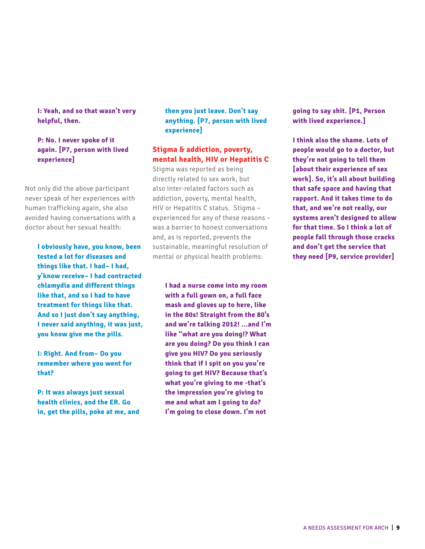**I: Yeah, and so that wasn't very helpful, then.**

### **P: No. I never spoke of it again. [P7, person with lived experience]**

Not only did the above participant never speak of her experiences with human trafficking again, she also avoided having conversations with a doctor about her sexual health:

> **I obviously have, you know, been tested a lot for diseases and things like that. I had– I had, y'know receive– I had contracted chlamydia and different things like that, and so I had to have treatment for things like that. And so I just don't say anything, I never said anything, it was just, you know give me the pills.**

**I: Right. And from– Do you remember where you went for that?**

**P: It was always just sexual health clinics, and the ER. Go in, get the pills, poke at me, and** 

### **then you just leave. Don't say anything. [P7, person with lived experience]**

### **Stigma & addiction, poverty, mental health, HIV or Hepatitis C**

Stigma was reported as being directly related to sex work, but also inter-related factors such as addiction, poverty, mental health, HIV or Hepatitis C status. Stigma – experienced for any of these reasons – was a barrier to honest conversations and, as is reported, prevents the sustainable, meaningful resolution of mental or physical health problems:

> **I had a nurse come into my room with a full gown on, a full face mask and gloves up to here, like in the 80s! Straight from the 80's and we're talking 2012! ...and I'm like "what are you doing!? What are you doing? Do you think I can give you HIV? Do you seriously think that if I spit on you you're going to get HIV? Because that's what you're giving to me -that's the impression you're giving to me and what am I going to do? I'm going to close down. I'm not**

**going to say shit. [P1, Person with lived experience.]**

**I think also the shame. Lots of people would go to a doctor, but they're not going to tell them [about their experience of sex work]. So, it's all about building that safe space and having that rapport. And it takes time to do that, and we're not really, our systems aren't designed to allow for that time. So I think a lot of people fall through those cracks and don't get the service that they need [P9, service provider]**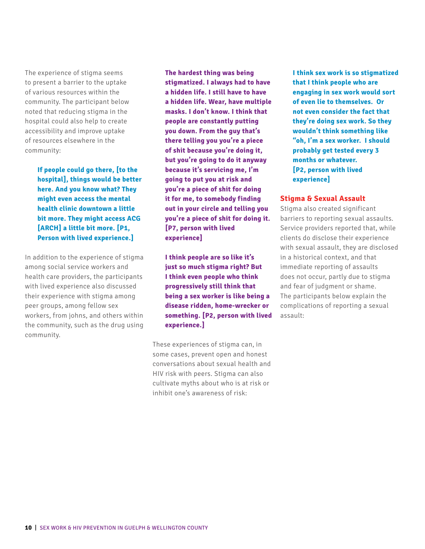The experience of stigma seems to present a barrier to the uptake of various resources within the community. The participant below noted that reducing stigma in the hospital could also help to create accessibility and improve uptake of resources elsewhere in the community:

> **If people could go there, [to the hospital], things would be better here. And you know what? They might even access the mental health clinic downtown a little bit more. They might access ACG [ARCH] a little bit more. [P1, Person with lived experience.]**

In addition to the experience of stigma among social service workers and health care providers, the participants with lived experience also discussed their experience with stigma among peer groups, among fellow sex workers, from johns, and others within the community, such as the drug using community.

**The hardest thing was being stigmatized. I always had to have a hidden life. I still have to have a hidden life. Wear, have multiple masks. I don't know. I think that people are constantly putting you down. From the guy that's there telling you you're a piece of shit because you're doing it, but you're going to do it anyway because it's servicing me, I'm going to put you at risk and you're a piece of shit for doing it for me, to somebody finding out in your circle and telling you you're a piece of shit for doing it. [P7, person with lived experience]**

**I think people are so…like it's just so much stigma right? But I think even people who think progressively still think that being a sex worker is like being a disease ridden, home-wrecker or something. [P2, person with lived experience.]**

These experiences of stigma can, in some cases, prevent open and honest conversations about sexual health and HIV risk with peers. Stigma can also cultivate myths about who is at risk or inhibit one's awareness of risk:

**I think sex work is so stigmatized that I think people who are engaging in sex work would sort of even lie to themselves. Or not even consider the fact that they're doing sex work. So they wouldn't think something like "oh, I'm a sex worker. I should probably get tested every 3 months or whatever. [P2, person with lived experience]**

### **Stigma & Sexual Assault**

Stigma also created significant barriers to reporting sexual assaults. Service providers reported that, while clients do disclose their experience with sexual assault, they are disclosed in a historical context, and that immediate reporting of assaults does not occur, partly due to stigma and fear of judgment or shame. The participants below explain the complications of reporting a sexual assault: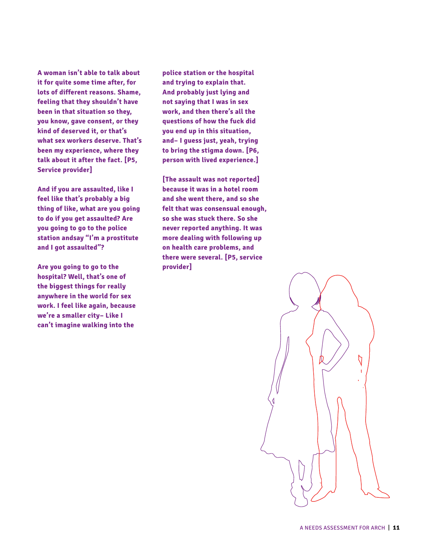**A woman isn't able to talk about it for quite some time after, for lots of different reasons. Shame, feeling that they shouldn't have been in that situation so they, you know, gave consent, or they kind of deserved it, or that's what sex workers deserve. That's been my experience, where they talk about it after the fact. [P5, Service provider]**

**And if you are assaulted, like I feel like that's probably a big thing of like, what are you going to do if you get assaulted? Are you going to go to the police station andsay "I'm a prostitute and I got assaulted"?** 

**Are you going to go to the hospital? Well, that's one of the biggest things for really anywhere in the world for sex work. I feel like again, because we're a smaller city– Like I can't imagine walking into the** 

**police station or the hospital and trying to explain that. And probably just lying and not saying that I was in sex work, and then there's all the questions of how the fuck did you end up in this situation, and– I guess just, yeah, trying to bring the stigma down. [P6, person with lived experience.]**

**[The assault was not reported] because it was in a hotel room and she went there, and so she felt that was consensual enough, so she was stuck there. So she never reported anything. It was more dealing with following up on health care problems, and there were several. [P5, service provider]** 

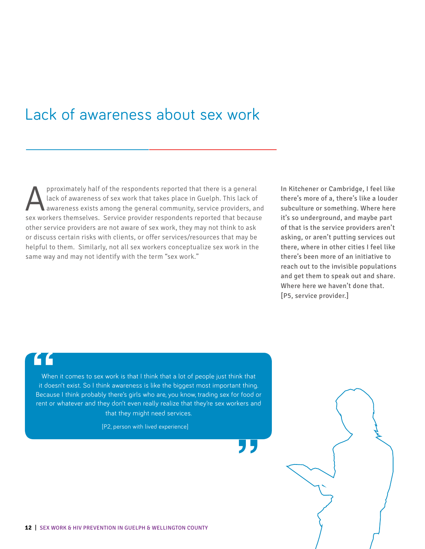## Lack of awareness about sex work

pproximately half of the respondents reported that there is a general<br>lack of awareness of sex work that takes place in Guelph. This lack of<br>awareness exists among the general community, service providers, are<br>sox workers lack of awareness of sex work that takes place in Guelph. This lack of awareness exists among the general community, service providers, and sex workers themselves. Service provider respondents reported that because other service providers are not aware of sex work, they may not think to ask or discuss certain risks with clients, or offer services/resources that may be helpful to them. Similarly, not all sex workers conceptualize sex work in the same way and may not identify with the term "sex work."

In Kitchener or Cambridge, I feel like there's more of a, there's like a louder subculture or something. Where here it's so underground, and maybe part of that is the service providers aren't asking, or aren't putting services out there, where in other cities I feel like there's been more of an initiative to reach out to the invisible populations and get them to speak out and share. Where here we haven't done that. [P5, service provider.]

When it comes to sex work is that I think that a lot of people just think that<br>it doesn't exist. So I think awareness is like the biggest most important thing.<br>Because I think probably there's girls who are, you know, trad When it comes to sex work is that I think that a lot of people just think that it doesn't exist. So I think awareness is like the biggest most important thing. rent or whatever and they don't even really realize that they're sex workers and that they might need services.

[P2, person with lived experience]



**"**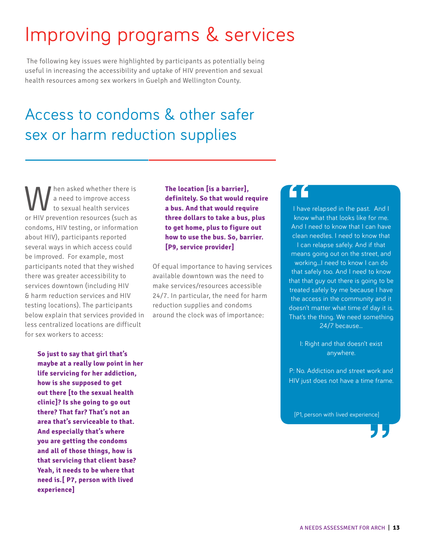# Improving programs & services

 The following key issues were highlighted by participants as potentially being useful in increasing the accessibility and uptake of HIV prevention and sexual health resources among sex workers in Guelph and Wellington County.

## Access to condoms & other safer sex or harm reduction supplies

When asked whether there is<br>to sexual health services<br>or HIV provention resources (such as a need to improve access to sexual health services or HIV prevention resources (such as condoms, HIV testing, or information about HIV), participants reported several ways in which access could be improved. For example, most participants noted that they wished there was greater accessibility to services downtown (including HIV & harm reduction services and HIV testing locations). The participants below explain that services provided in less centralized locations are difficult for sex workers to access:

> **So just to say that girl that's maybe at a really low point in her life servicing for her addiction, how is she supposed to get out there [to the sexual health clinic]? Is she going to go out there? That far? That's not an area that's serviceable to that. And especially that's where you are getting the condoms and all of those things, how is that servicing that client base? Yeah, it needs to be where that need is.[ P7, person with lived experience]**

**The location [is a barrier], definitely. So that would require a bus. And that would require three dollars to take a bus, plus to get home, plus to figure out how to use the bus. So, barrier. [P9, service provider]**

Of equal importance to having services available downtown was the need to make services/resources accessible 24/7. In particular, the need for harm reduction supplies and condoms around the clock was of importance:

**1** have relapsed in the past. And I<br>
know what that looks like for me.<br>
And I need to know that I can have I have relapsed in the past. And I know what that looks like for me. clean needles. I need to know that I can relapse safely. And if that means going out on the street, and working...I need to know I can do that safely too. And I need to know that that guy out there is going to be treated safely by me because I have the access in the community and it doesn't matter what time of day it is. That's the thing. We need something 24/7 because...

> I: Right and that doesn't exist anywhere.

P: No. Addiction and street work and HIV just does not have a time frame.

[P1, person with lived experience]

**"**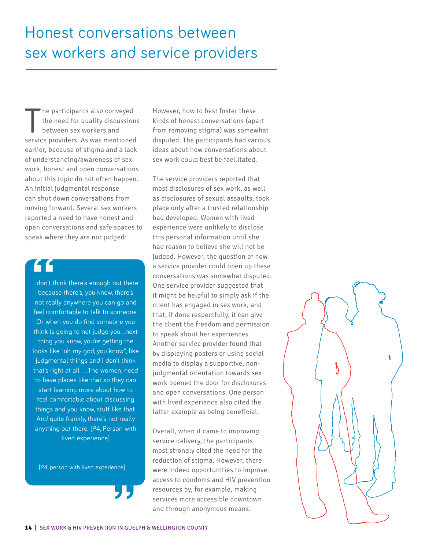The participants also conveyed<br>the need for quality discussions<br>between sex workers and<br>service providers. As was mentioned he participants also conveyed the need for quality discussions between sex workers and earlier, because of stigma and a lack of understanding/awareness of sex work, honest and open conversations about this topic do not often happen. An initial judgmental response can shut down conversations from moving forward. Several sex workers reported a need to have honest and open conversations and safe spaces to speak where they are not judged:

**1** don't think there's enough out there<br>because there's, you know, there's<br>not really anywhere you can go and I don't think there's enough out there because there's, you know, there's feel comfortable to talk to someone. Or when you do find someone you think is going to not judge you…next thing you know, you're getting the looks like "oh my god, you know", like judgmental things and I don't think that's right at all. …The women, need to have places like that so they can start learning more about how to feel comfortable about discussing things and you know, stuff like that. And quite frankly, there's not really anything out there. [P4, Person with lived experience]

[P4, person with lived experience]

However, how to best foster these kinds of honest conversations (apart from removing stigma) was somewhat disputed. The participants had various ideas about how conversations about sex work could best be facilitated.

The service providers reported that most disclosures of sex work, as well as disclosures of sexual assaults, took place only after a trusted relationship had developed. Women with lived experience were unlikely to disclose this personal information until she had reason to believe she will not be judged. However, the question of how a service provider could open up these conversations was somewhat disputed. One service provider suggested that it might be helpful to simply ask if the client has engaged in sex work, and that, if done respectfully, it can give the client the freedom and permission to speak about her experiences. Another service provider found that by displaying posters or using social media to display a supportive, nonjudgmental orientation towards sex work opened the door for disclosures and open conversations. One person with lived experience also cited the latter example as being beneficial.

**14** | SEX WORK & HIV PREVENTION IN GUELPH & WELLINGTON COUNTY Overall, when it came to improving service delivery, the participants most strongly cited the need for the reduction of stigma. However, there were indeed opportunities to improve access to condoms and HIV prevention resources by, for example, making services more accessible downtown and through anonymous means.

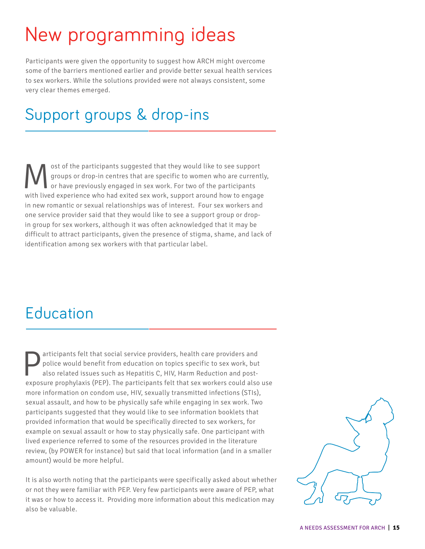# New programming ideas

Participants were given the opportunity to suggest how ARCH might overcome some of the barriers mentioned earlier and provide better sexual health services to sex workers. While the solutions provided were not always consistent, some very clear themes emerged.

## Support groups & drop-ins

ost of the participants suggested that they would like to see support<br>
or have previously engaged in sex work. For two of the participants<br>
with lived experience who had exited sex work, support around how to engage groups or drop-in centres that are specific to women who are currently, or have previously engaged in sex work. For two of the participants with lived experience who had exited sex work, support around how to engage in new romantic or sexual relationships was of interest. Four sex workers and one service provider said that they would like to see a support group or dropin group for sex workers, although it was often acknowledged that it may be difficult to attract participants, given the presence of stigma, shame, and lack of identification among sex workers with that particular label.

## Education

**Participants felt that social service providers, health care providers and police would benefit from education on topics specific to sex work, but also related issues such as Hepatitis C, HIV, Harm Reduction and post-<br>exp** police would benefit from education on topics specific to sex work, but also related issues such as Hepatitis C, HIV, Harm Reduction and postexposure prophylaxis (PEP). The participants felt that sex workers could also use more information on condom use, HIV, sexually transmitted infections (STIs), sexual assault, and how to be physically safe while engaging in sex work. Two participants suggested that they would like to see information booklets that provided information that would be specifically directed to sex workers, for example on sexual assault or how to stay physically safe. One participant with lived experience referred to some of the resources provided in the literature review, (by POWER for instance) but said that local information (and in a smaller amount) would be more helpful.

It is also worth noting that the participants were specifically asked about whether or not they were familiar with PEP. Very few participants were aware of PEP, what it was or how to access it. Providing more information about this medication may also be valuable.

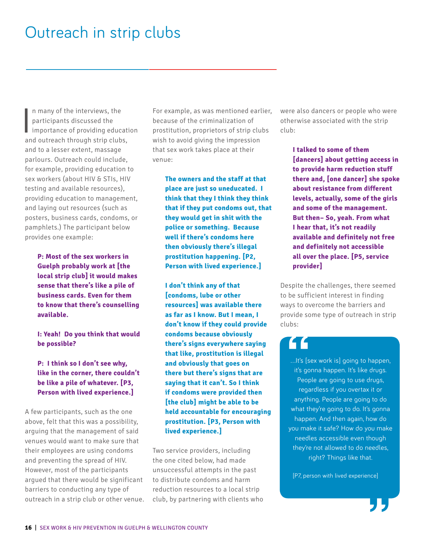## Outreach in strip clubs

 $\overline{\mathbf{I}}$ n many of the interviews, the participants discussed the importance of providing education and outreach through strip clubs, and to a lesser extent, massage parlours. Outreach could include, for example, providing education to sex workers (about HIV & STIs, HIV testing and available resources), providing education to management, and laying out resources (such as posters, business cards, condoms, or pamphlets.) The participant below provides one example:

> **P: Most of the sex workers in Guelph probably work at [the local strip club]…it would makes sense that there's like a pile of business cards. Even for them to know that there's counselling available.**

> **I: Yeah! Do you think that would be possible?**

> **P: I think so…I don't see why, like in the corner, there couldn't be like a pile of whatever. [P3, Person with lived experience.]**

A few participants, such as the one above, felt that this was a possibility, arguing that the management of said venues would want to make sure that their employees are using condoms and preventing the spread of HIV. However, most of the participants argued that there would be significant barriers to conducting any type of outreach in a strip club or other venue.

For example, as was mentioned earlier, because of the criminalization of prostitution, proprietors of strip clubs wish to avoid giving the impression that sex work takes place at their venue:

**The owners and the staff at that place are just so uneducated. …I think that they…I think they think that if they put condoms out, that they would get in shit with the police or something. …Because well if there's condoms here then obviously there's illegal prostitution happening. [P2, Person with lived experience.]**

**I don't think any of that [condoms, lube or other resources] was available there as far as I know. But I mean, I don't know if they could provide condoms because obviously there's signs everywhere saying that like, prostitution is illegal and obviously that goes on there but there's signs that are saying that it can't. So I think if condoms were provided then [the club] might be able to be held accountable for encouraging prostitution. [P3, Person with lived experience.]**

Two service providers, including the one cited below, had made unsuccessful attempts in the past to distribute condoms and harm reduction resources to a local strip club, by partnering with clients who were also dancers or people who were otherwise associated with the strip club:

> **I talked to some of them [dancers] about getting access in to provide harm reduction stuff there and, [one dancer] she spoke about resistance from different levels, actually, some of the girls and some of the management. But then– So, yeah. From what I hear that, it's not readily available and definitely not free and definitely not accessible all over the place. [P5, service provider]**

Despite the challenges, there seemed to be sufficient interest in finding ways to overcome the barriers and provide some type of outreach in strip clubs:

**18**<br>
...It's [sex wo<br>
it's gonna l<br>
People ar …It's [sex work is] going to happen, it's gonna happen. It's like drugs. People are going to use drugs, regardless if you overtax it or anything. People are going to do what they're going to do. It's gonna happen. And then again, how do you make it safe? How do you make needles accessible even though they're not allowed to do needles, right? Things like that.

[P7, person with lived experience]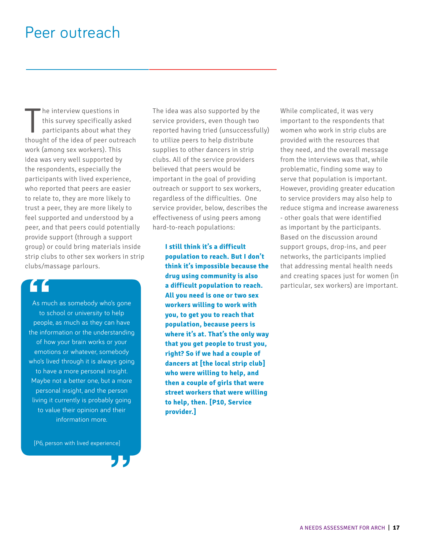## Peer outreach

The interview questions in<br>this survey specifically asked<br>participants about what they<br>thought of the idea of peer outreach he interview questions in this survey specifically asked participants about what they work (among sex workers). This idea was very well supported by the respondents, especially the participants with lived experience, who reported that peers are easier to relate to, they are more likely to trust a peer, they are more likely to feel supported and understood by a peer, and that peers could potentially provide support (through a support group) or could bring materials inside strip clubs to other sex workers in strip clubs/massage parlours.

As much as somebody who's gone to school or university to help people, as much as they can have the information or the understanding of how your brain works or your emotions or whatever, somebody who's lived through it is always going to have a more personal insight. Maybe not a better one, but a more personal insight, and the person living it currently is probably going to value their opinion and their information more.

[P6, person with lived experience]

**"**

The idea was also supported by the service providers, even though two reported having tried (unsuccessfully) to utilize peers to help distribute supplies to other dancers in strip clubs. All of the service providers believed that peers would be important in the goal of providing outreach or support to sex workers, regardless of the difficulties. One service provider, below, describes the effectiveness of using peers among hard-to-reach populations:

**I still think it's a difficult population to reach. But I don't think it's impossible because the drug using community is also a difficult population to reach. All you need is one or two sex workers willing to work with you, to get you to reach that population, because peers is where it's at. That's the only way that you get people to trust you, right? So if we had a couple of dancers at [the local strip club] who were willing to help, and then a couple of girls that were street workers that were willing to help, then. [P10, Service provider.] a difficult population to reach.** particular, sex workers) are important.<br>
As much as somebody who's gone<br>
to school or university to help<br> **18 you, to get you to reach that**<br> **18 you, to get you to reach that**<br> **18 you,** 

While complicated, it was very important to the respondents that women who work in strip clubs are provided with the resources that they need, and the overall message from the interviews was that, while problematic, finding some way to serve that population is important. However, providing greater education to service providers may also help to reduce stigma and increase awareness - other goals that were identified as important by the participants. Based on the discussion around support groups, drop-ins, and peer networks, the participants implied that addressing mental health needs and creating spaces just for women (in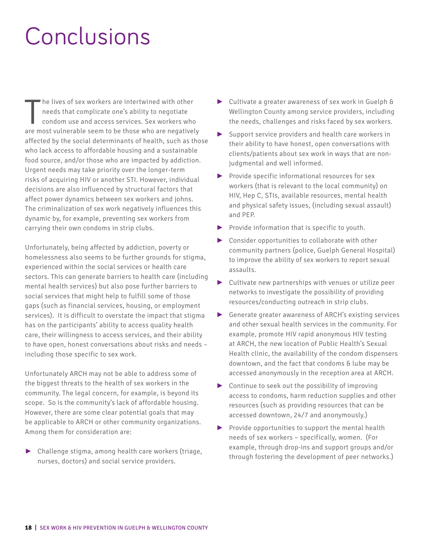# Conclusions

The lives of sex workers are intertwined with other<br>needs that complicate one's ability to negotiate<br>condom use and access services. Sex workers who<br>are most vulnerable seem to be those who are negatively he lives of sex workers are intertwined with other needs that complicate one's ability to negotiate condom use and access services. Sex workers who affected by the social determinants of health, such as those who lack access to affordable housing and a sustainable food source, and/or those who are impacted by addiction. Urgent needs may take priority over the longer-term risks of acquiring HIV or another STI. However, individual decisions are also influenced by structural factors that affect power dynamics between sex workers and johns. The criminalization of sex work negatively influences this dynamic by, for example, preventing sex workers from carrying their own condoms in strip clubs.

Unfortunately, being affected by addiction, poverty or homelessness also seems to be further grounds for stigma, experienced within the social services or health care sectors. This can generate barriers to health care (including mental health services) but also pose further barriers to social services that might help to fulfill some of those gaps (such as financial services, housing, or employment services). It is difficult to overstate the impact that stigma has on the participants' ability to access quality health care, their willingness to access services, and their ability to have open, honest conversations about risks and needs – including those specific to sex work.

Unfortunately ARCH may not be able to address some of the biggest threats to the health of sex workers in the community. The legal concern, for example, is beyond its scope. So is the community's lack of affordable housing. However, there are some clear potential goals that may be applicable to ARCH or other community organizations. Among them for consideration are:

► Challenge stigma, among health care workers (triage, nurses, doctors) and social service providers.

- ► Cultivate a greater awareness of sex work in Guelph & Wellington County among service providers, including the needs, challenges and risks faced by sex workers.
- ► Support service providers and health care workers in their ability to have honest, open conversations with clients/patients about sex work in ways that are nonjudgmental and well informed.
- ► Provide specific informational resources for sex workers (that is relevant to the local community) on HIV, Hep C, STIs, available resources, mental health and physical safety issues, (including sexual assault) and PEP.
- ► Provide information that is specific to youth.
- ► Consider opportunities to collaborate with other community partners (police, Guelph General Hospital) to improve the ability of sex workers to report sexual assaults.
- ► Cultivate new partnerships with venues or utilize peer networks to investigate the possibility of providing resources/conducting outreach in strip clubs.
- ► Generate greater awareness of ARCH's existing services and other sexual health services in the community. For example, promote HIV rapid anonymous HIV testing at ARCH, the new location of Public Health's Sexual Health clinic, the availability of the condom dispensers downtown, and the fact that condoms & lube may be accessed anonymously in the reception area at ARCH.
- ► Continue to seek out the possibility of improving access to condoms, harm reduction supplies and other resources (such as providing resources that can be accessed downtown, 24/7 and anonymously.)
- $\triangleright$  Provide opportunities to support the mental health needs of sex workers – specifically, women. (For example, through drop-ins and support groups and/or through fostering the development of peer networks.)